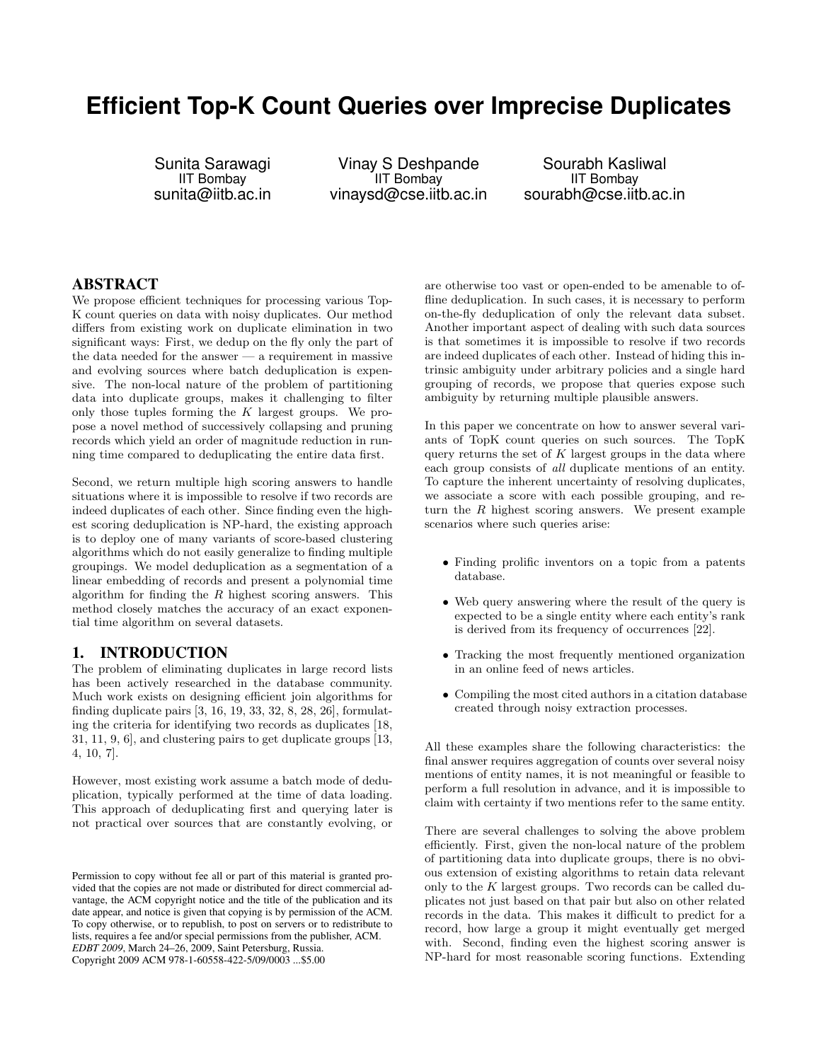# **Efficient Top-K Count Queries over Imprecise Duplicates**

Sunita Sarawagi IIT Bombay sunita@iitb.ac.in

Vinay S Deshpande IIT Bombay vinaysd@cse.iitb.ac.in

Sourabh Kasliwal IIT Bombay sourabh@cse.iitb.ac.in

# ABSTRACT

We propose efficient techniques for processing various Top-K count queries on data with noisy duplicates. Our method differs from existing work on duplicate elimination in two significant ways: First, we dedup on the fly only the part of the data needed for the answer — a requirement in massive and evolving sources where batch deduplication is expensive. The non-local nature of the problem of partitioning data into duplicate groups, makes it challenging to filter only those tuples forming the  $K$  largest groups. We propose a novel method of successively collapsing and pruning records which yield an order of magnitude reduction in running time compared to deduplicating the entire data first.

Second, we return multiple high scoring answers to handle situations where it is impossible to resolve if two records are indeed duplicates of each other. Since finding even the highest scoring deduplication is NP-hard, the existing approach is to deploy one of many variants of score-based clustering algorithms which do not easily generalize to finding multiple groupings. We model deduplication as a segmentation of a linear embedding of records and present a polynomial time algorithm for finding the  $R$  highest scoring answers. This method closely matches the accuracy of an exact exponential time algorithm on several datasets.

# 1. INTRODUCTION

The problem of eliminating duplicates in large record lists has been actively researched in the database community. Much work exists on designing efficient join algorithms for finding duplicate pairs [3, 16, 19, 33, 32, 8, 28, 26], formulating the criteria for identifying two records as duplicates [18, 31, 11, 9, 6], and clustering pairs to get duplicate groups [13, 4, 10, 7].

However, most existing work assume a batch mode of deduplication, typically performed at the time of data loading. This approach of deduplicating first and querying later is not practical over sources that are constantly evolving, or

are otherwise too vast or open-ended to be amenable to offline deduplication. In such cases, it is necessary to perform on-the-fly deduplication of only the relevant data subset. Another important aspect of dealing with such data sources is that sometimes it is impossible to resolve if two records are indeed duplicates of each other. Instead of hiding this intrinsic ambiguity under arbitrary policies and a single hard grouping of records, we propose that queries expose such ambiguity by returning multiple plausible answers.

In this paper we concentrate on how to answer several variants of TopK count queries on such sources. The TopK query returns the set of  $K$  largest groups in the data where each group consists of all duplicate mentions of an entity. To capture the inherent uncertainty of resolving duplicates, we associate a score with each possible grouping, and return the  $R$  highest scoring answers. We present example scenarios where such queries arise:

- Finding prolific inventors on a topic from a patents database.
- Web query answering where the result of the query is expected to be a single entity where each entity's rank is derived from its frequency of occurrences [22].
- Tracking the most frequently mentioned organization in an online feed of news articles.
- Compiling the most cited authors in a citation database created through noisy extraction processes.

All these examples share the following characteristics: the final answer requires aggregation of counts over several noisy mentions of entity names, it is not meaningful or feasible to perform a full resolution in advance, and it is impossible to claim with certainty if two mentions refer to the same entity.

There are several challenges to solving the above problem efficiently. First, given the non-local nature of the problem of partitioning data into duplicate groups, there is no obvious extension of existing algorithms to retain data relevant only to the K largest groups. Two records can be called duplicates not just based on that pair but also on other related records in the data. This makes it difficult to predict for a record, how large a group it might eventually get merged with. Second, finding even the highest scoring answer is NP-hard for most reasonable scoring functions. Extending

Permission to copy without fee all or part of this material is granted provided that the copies are not made or distributed for direct commercial advantage, the ACM copyright notice and the title of the publication and its date appear, and notice is given that copying is by permission of the ACM. To copy otherwise, or to republish, to post on servers or to redistribute to lists, requires a fee and/or special permissions from the publisher, ACM. *EDBT 2009*, March 24–26, 2009, Saint Petersburg, Russia. Copyright 2009 ACM 978-1-60558-422-5/09/0003 ...\$5.00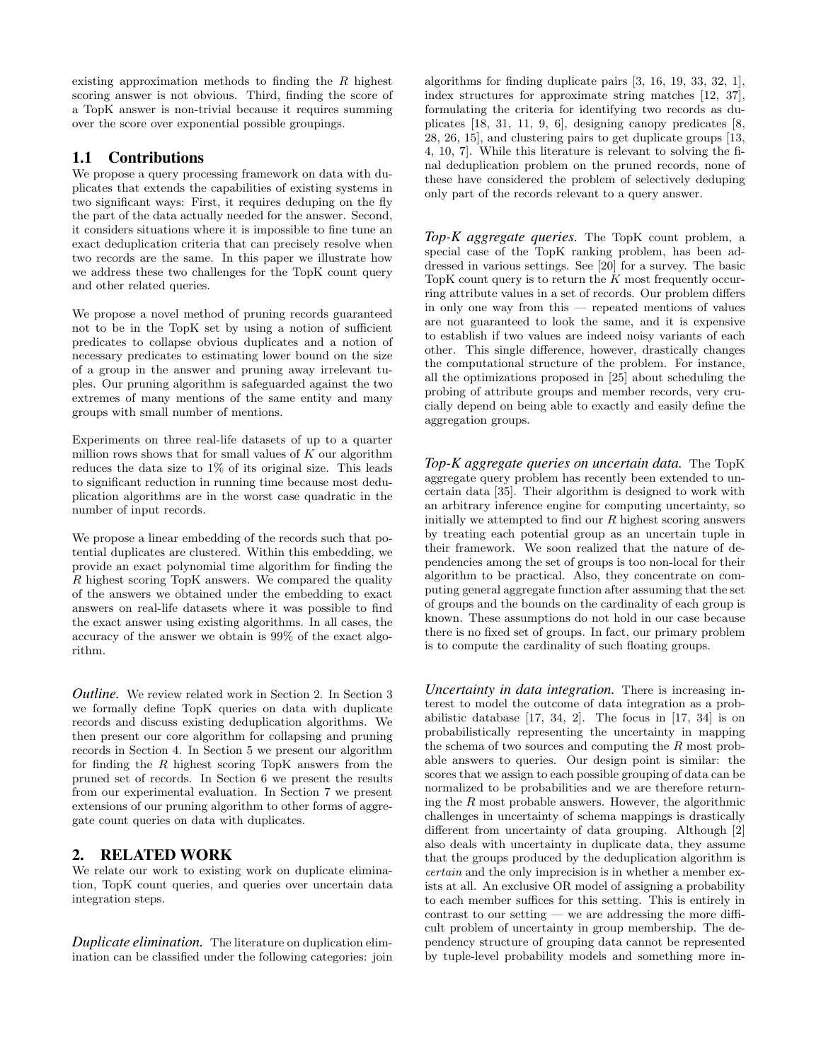existing approximation methods to finding the  $R$  highest scoring answer is not obvious. Third, finding the score of a TopK answer is non-trivial because it requires summing over the score over exponential possible groupings.

# 1.1 Contributions

We propose a query processing framework on data with duplicates that extends the capabilities of existing systems in two significant ways: First, it requires deduping on the fly the part of the data actually needed for the answer. Second, it considers situations where it is impossible to fine tune an exact deduplication criteria that can precisely resolve when two records are the same. In this paper we illustrate how we address these two challenges for the TopK count query and other related queries.

We propose a novel method of pruning records guaranteed not to be in the TopK set by using a notion of sufficient predicates to collapse obvious duplicates and a notion of necessary predicates to estimating lower bound on the size of a group in the answer and pruning away irrelevant tuples. Our pruning algorithm is safeguarded against the two extremes of many mentions of the same entity and many groups with small number of mentions.

Experiments on three real-life datasets of up to a quarter million rows shows that for small values of  $K$  our algorithm reduces the data size to  $1\%$  of its original size. This leads to significant reduction in running time because most deduplication algorithms are in the worst case quadratic in the number of input records.

We propose a linear embedding of the records such that potential duplicates are clustered. Within this embedding, we provide an exact polynomial time algorithm for finding the R highest scoring TopK answers. We compared the quality of the answers we obtained under the embedding to exact answers on real-life datasets where it was possible to find the exact answer using existing algorithms. In all cases, the accuracy of the answer we obtain is 99% of the exact algorithm.

*Outline.* We review related work in Section 2. In Section 3 we formally define TopK queries on data with duplicate records and discuss existing deduplication algorithms. We then present our core algorithm for collapsing and pruning records in Section 4. In Section 5 we present our algorithm for finding the  $R$  highest scoring TopK answers from the pruned set of records. In Section 6 we present the results from our experimental evaluation. In Section 7 we present extensions of our pruning algorithm to other forms of aggregate count queries on data with duplicates.

# 2. RELATED WORK

We relate our work to existing work on duplicate elimination, TopK count queries, and queries over uncertain data integration steps.

*Duplicate elimination.* The literature on duplication elimination can be classified under the following categories: join algorithms for finding duplicate pairs [3, 16, 19, 33, 32, 1], index structures for approximate string matches [12, 37], formulating the criteria for identifying two records as duplicates [18, 31, 11, 9, 6], designing canopy predicates [8, 28, 26, 15], and clustering pairs to get duplicate groups [13, 4, 10, 7]. While this literature is relevant to solving the final deduplication problem on the pruned records, none of these have considered the problem of selectively deduping only part of the records relevant to a query answer.

*Top-K aggregate queries.* The TopK count problem, a special case of the TopK ranking problem, has been addressed in various settings. See [20] for a survey. The basic TopK count query is to return the  $K$  most frequently occurring attribute values in a set of records. Our problem differs in only one way from this — repeated mentions of values are not guaranteed to look the same, and it is expensive to establish if two values are indeed noisy variants of each other. This single difference, however, drastically changes the computational structure of the problem. For instance, all the optimizations proposed in [25] about scheduling the probing of attribute groups and member records, very crucially depend on being able to exactly and easily define the aggregation groups.

*Top-K aggregate queries on uncertain data.* The TopK aggregate query problem has recently been extended to uncertain data [35]. Their algorithm is designed to work with an arbitrary inference engine for computing uncertainty, so initially we attempted to find our  $R$  highest scoring answers by treating each potential group as an uncertain tuple in their framework. We soon realized that the nature of dependencies among the set of groups is too non-local for their algorithm to be practical. Also, they concentrate on computing general aggregate function after assuming that the set of groups and the bounds on the cardinality of each group is known. These assumptions do not hold in our case because there is no fixed set of groups. In fact, our primary problem is to compute the cardinality of such floating groups.

*Uncertainty in data integration.* There is increasing interest to model the outcome of data integration as a probabilistic database [17, 34, 2]. The focus in [17, 34] is on probabilistically representing the uncertainty in mapping the schema of two sources and computing the R most probable answers to queries. Our design point is similar: the scores that we assign to each possible grouping of data can be normalized to be probabilities and we are therefore returning the  $R$  most probable answers. However, the algorithmic challenges in uncertainty of schema mappings is drastically different from uncertainty of data grouping. Although [2] also deals with uncertainty in duplicate data, they assume that the groups produced by the deduplication algorithm is certain and the only imprecision is in whether a member exists at all. An exclusive OR model of assigning a probability to each member suffices for this setting. This is entirely in contrast to our setting — we are addressing the more difficult problem of uncertainty in group membership. The dependency structure of grouping data cannot be represented by tuple-level probability models and something more in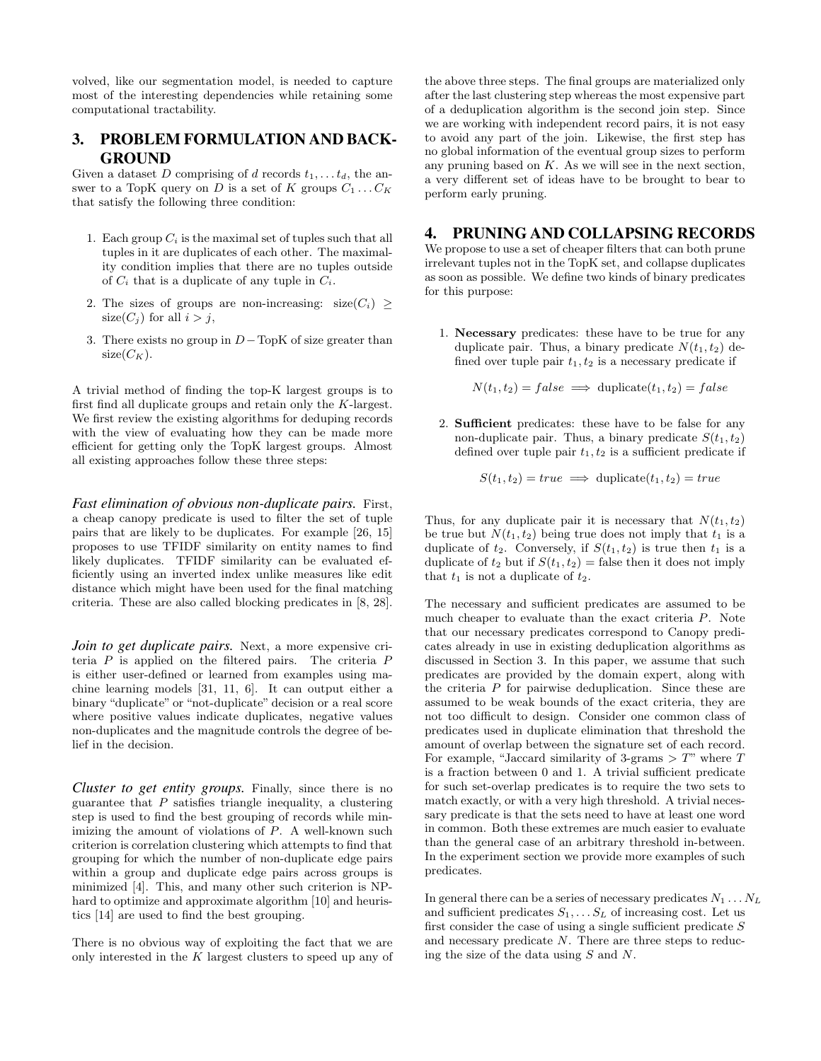volved, like our segmentation model, is needed to capture most of the interesting dependencies while retaining some computational tractability.

# 3. PROBLEM FORMULATION AND BACK-GROUND

Given a dataset D comprising of d records  $t_1, \ldots, t_d$ , the answer to a TopK query on D is a set of K groups  $C_1 \ldots C_K$ that satisfy the following three condition:

- 1. Each group  $C_i$  is the maximal set of tuples such that all tuples in it are duplicates of each other. The maximality condition implies that there are no tuples outside of  $C_i$  that is a duplicate of any tuple in  $C_i$ .
- 2. The sizes of groups are non-increasing:  $size(C_i) \geq$  $size(C_j)$  for all  $i > j$ ,
- 3. There exists no group in  $D-\text{TopK}$  of size greater than  $size(C_K)$ .

A trivial method of finding the top-K largest groups is to first find all duplicate groups and retain only the K-largest. We first review the existing algorithms for deduping records with the view of evaluating how they can be made more efficient for getting only the TopK largest groups. Almost all existing approaches follow these three steps:

*Fast elimination of obvious non-duplicate pairs.* First, a cheap canopy predicate is used to filter the set of tuple pairs that are likely to be duplicates. For example [26, 15] proposes to use TFIDF similarity on entity names to find likely duplicates. TFIDF similarity can be evaluated efficiently using an inverted index unlike measures like edit distance which might have been used for the final matching criteria. These are also called blocking predicates in [8, 28].

*Join to get duplicate pairs.* Next, a more expensive criteria  $P$  is applied on the filtered pairs. The criteria  $P$ is either user-defined or learned from examples using machine learning models [31, 11, 6]. It can output either a binary "duplicate" or "not-duplicate" decision or a real score where positive values indicate duplicates, negative values non-duplicates and the magnitude controls the degree of belief in the decision.

*Cluster to get entity groups.* Finally, since there is no guarantee that  $P$  satisfies triangle inequality, a clustering step is used to find the best grouping of records while minimizing the amount of violations of  $P$ . A well-known such criterion is correlation clustering which attempts to find that grouping for which the number of non-duplicate edge pairs within a group and duplicate edge pairs across groups is minimized [4]. This, and many other such criterion is NPhard to optimize and approximate algorithm [10] and heuristics [14] are used to find the best grouping.

There is no obvious way of exploiting the fact that we are only interested in the  $K$  largest clusters to speed up any of the above three steps. The final groups are materialized only after the last clustering step whereas the most expensive part of a deduplication algorithm is the second join step. Since we are working with independent record pairs, it is not easy to avoid any part of the join. Likewise, the first step has no global information of the eventual group sizes to perform any pruning based on  $K$ . As we will see in the next section, a very different set of ideas have to be brought to bear to perform early pruning.

# 4. PRUNING AND COLLAPSING RECORDS

We propose to use a set of cheaper filters that can both prune irrelevant tuples not in the TopK set, and collapse duplicates as soon as possible. We define two kinds of binary predicates for this purpose:

1. Necessary predicates: these have to be true for any duplicate pair. Thus, a binary predicate  $N(t_1, t_2)$  defined over tuple pair  $t_1, t_2$  is a necessary predicate if

$$
N(t_1, t_2) = false \implies \text{duplicate}(t_1, t_2) = false
$$

2. Sufficient predicates: these have to be false for any non-duplicate pair. Thus, a binary predicate  $S(t_1, t_2)$ defined over tuple pair  $t_1, t_2$  is a sufficient predicate if

$$
S(t_1, t_2) = true \implies \text{duplicate}(t_1, t_2) = true
$$

Thus, for any duplicate pair it is necessary that  $N(t_1, t_2)$ be true but  $N(t_1, t_2)$  being true does not imply that  $t_1$  is a duplicate of  $t_2$ . Conversely, if  $S(t_1, t_2)$  is true then  $t_1$  is a duplicate of  $t_2$  but if  $S(t_1, t_2)$  = false then it does not imply that  $t_1$  is not a duplicate of  $t_2$ .

The necessary and sufficient predicates are assumed to be much cheaper to evaluate than the exact criteria P. Note that our necessary predicates correspond to Canopy predicates already in use in existing deduplication algorithms as discussed in Section 3. In this paper, we assume that such predicates are provided by the domain expert, along with the criteria P for pairwise deduplication. Since these are assumed to be weak bounds of the exact criteria, they are not too difficult to design. Consider one common class of predicates used in duplicate elimination that threshold the amount of overlap between the signature set of each record. For example, "Jaccard similarity of 3-grams  $> T$ " where T is a fraction between 0 and 1. A trivial sufficient predicate for such set-overlap predicates is to require the two sets to match exactly, or with a very high threshold. A trivial necessary predicate is that the sets need to have at least one word in common. Both these extremes are much easier to evaluate than the general case of an arbitrary threshold in-between. In the experiment section we provide more examples of such predicates.

In general there can be a series of necessary predicates  $N_1 \ldots N_L$ and sufficient predicates  $S_1, \ldots, S_L$  of increasing cost. Let us first consider the case of using a single sufficient predicate  $S$ and necessary predicate N. There are three steps to reducing the size of the data using S and N.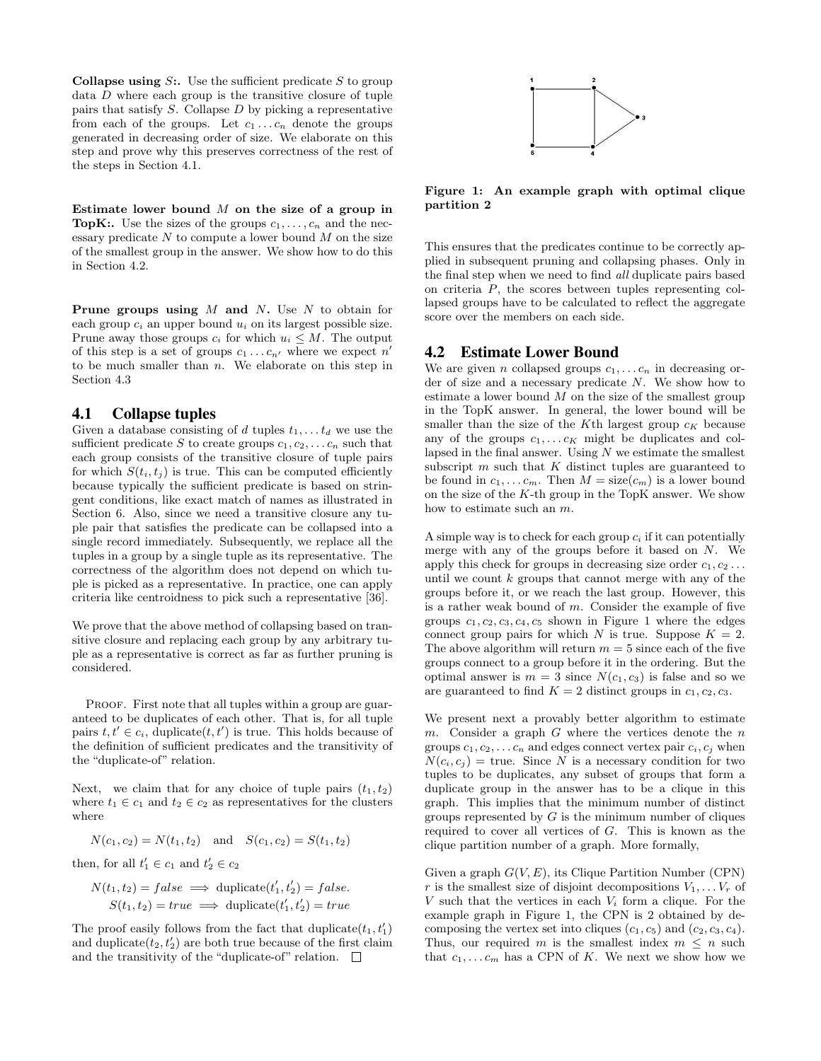**Collapse using S:.** Use the sufficient predicate S to group data  $D$  where each group is the transitive closure of tuple pairs that satisfy  $S$ . Collapse  $D$  by picking a representative from each of the groups. Let  $c_1 \ldots c_n$  denote the groups generated in decreasing order of size. We elaborate on this step and prove why this preserves correctness of the rest of the steps in Section 4.1.

Estimate lower bound  $M$  on the size of a group in **TopK:.** Use the sizes of the groups  $c_1, \ldots, c_n$  and the necessary predicate  $N$  to compute a lower bound  $M$  on the size of the smallest group in the answer. We show how to do this in Section 4.2.

**Prune groups using**  $M$  **and**  $N$ **.** Use  $N$  to obtain for each group  $c_i$  an upper bound  $u_i$  on its largest possible size. Prune away those groups  $c_i$  for which  $u_i \leq M$ . The output of this step is a set of groups  $c_1 \ldots c_{n'}$  where we expect  $n'$ to be much smaller than  $n$ . We elaborate on this step in Section 4.3

#### 4.1 Collapse tuples

Given a database consisting of d tuples  $t_1, \ldots t_d$  we use the sufficient predicate S to create groups  $c_1, c_2, \ldots c_n$  such that each group consists of the transitive closure of tuple pairs for which  $S(t_i, t_j)$  is true. This can be computed efficiently because typically the sufficient predicate is based on stringent conditions, like exact match of names as illustrated in Section 6. Also, since we need a transitive closure any tuple pair that satisfies the predicate can be collapsed into a single record immediately. Subsequently, we replace all the tuples in a group by a single tuple as its representative. The correctness of the algorithm does not depend on which tuple is picked as a representative. In practice, one can apply criteria like centroidness to pick such a representative [36].

We prove that the above method of collapsing based on transitive closure and replacing each group by any arbitrary tuple as a representative is correct as far as further pruning is considered.

PROOF. First note that all tuples within a group are guaranteed to be duplicates of each other. That is, for all tuple pairs  $t, t' \in c_i$ , duplicate $(t, t')$  is true. This holds because of the definition of sufficient predicates and the transitivity of the "duplicate-of" relation.

Next, we claim that for any choice of tuple pairs  $(t_1, t_2)$ where  $t_1 \in c_1$  and  $t_2 \in c_2$  as representatives for the clusters where

$$
N(c_1, c_2) = N(t_1, t_2)
$$
 and  $S(c_1, c_2) = S(t_1, t_2)$ 

then, for all  $t'_1 \in c_1$  and  $t'_2 \in c_2$ 

$$
N(t_1, t_2) = false \implies \text{duplicate}(t'_1, t'_2) = false.
$$
  

$$
S(t_1, t_2) = true \implies \text{duplicate}(t'_1, t'_2) = true
$$

The proof easily follows from the fact that  $\text{diplicate}(t_1, t_1')$ and duplicate $(t_2, t_2')$  are both true because of the first claim and the transitivity of the "duplicate-of" relation.  $\Box$ 



Figure 1: An example graph with optimal clique partition 2

This ensures that the predicates continue to be correctly applied in subsequent pruning and collapsing phases. Only in the final step when we need to find all duplicate pairs based on criteria P, the scores between tuples representing collapsed groups have to be calculated to reflect the aggregate score over the members on each side.

# 4.2 Estimate Lower Bound

We are given *n* collapsed groups  $c_1, \ldots c_n$  in decreasing order of size and a necessary predicate N. We show how to estimate a lower bound  $M$  on the size of the smallest group in the TopK answer. In general, the lower bound will be smaller than the size of the K<sup>th</sup> largest group  $c_K$  because any of the groups  $c_1, \ldots c_K$  might be duplicates and collapsed in the final answer. Using  $N$  we estimate the smallest subscript  $m$  such that  $K$  distinct tuples are guaranteed to be found in  $c_1, \ldots c_m$ . Then  $M = \text{size}(c_m)$  is a lower bound on the size of the  $K$ -th group in the TopK answer. We show how to estimate such an m.

A simple way is to check for each group  $c_i$  if it can potentially merge with any of the groups before it based on N. We apply this check for groups in decreasing size order  $c_1, c_2 \ldots$ until we count  $k$  groups that cannot merge with any of the groups before it, or we reach the last group. However, this is a rather weak bound of  $m$ . Consider the example of five groups  $c_1, c_2, c_3, c_4, c_5$  shown in Figure 1 where the edges connect group pairs for which N is true. Suppose  $K = 2$ . The above algorithm will return  $m = 5$  since each of the five groups connect to a group before it in the ordering. But the optimal answer is  $m = 3$  since  $N(c_1, c_3)$  is false and so we are guaranteed to find  $K = 2$  distinct groups in  $c_1, c_2, c_3$ .

We present next a provably better algorithm to estimate m. Consider a graph  $G$  where the vertices denote the  $n$ groups  $c_1, c_2, \ldots c_n$  and edges connect vertex pair  $c_i, c_j$  when  $N(c_i, c_j)$  = true. Since N is a necessary condition for two tuples to be duplicates, any subset of groups that form a duplicate group in the answer has to be a clique in this graph. This implies that the minimum number of distinct groups represented by  $G$  is the minimum number of cliques required to cover all vertices of G. This is known as the clique partition number of a graph. More formally,

Given a graph  $G(V, E)$ , its Clique Partition Number (CPN) r is the smallest size of disjoint decompositions  $V_1, \ldots V_r$  of V such that the vertices in each  $V_i$  form a clique. For the example graph in Figure 1, the CPN is 2 obtained by decomposing the vertex set into cliques  $(c_1, c_5)$  and  $(c_2, c_3, c_4)$ . Thus, our required m is the smallest index  $m \leq n$  such that  $c_1, \ldots c_m$  has a CPN of K. We next we show how we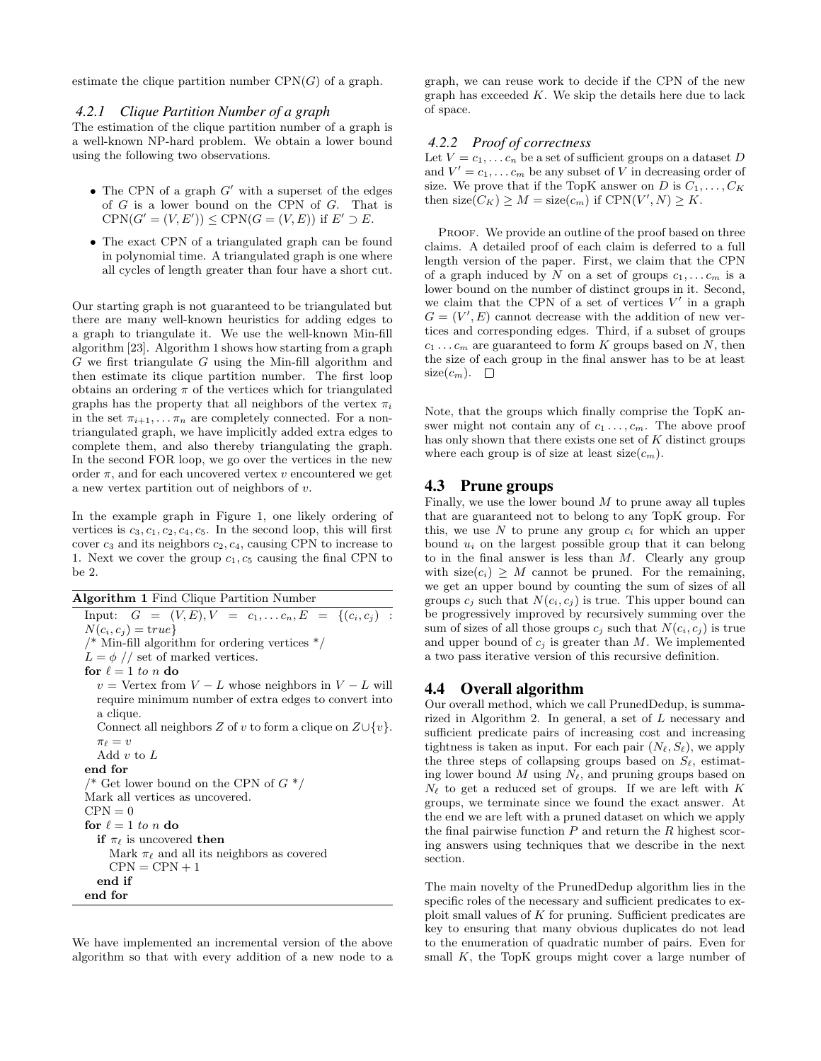estimate the clique partition number  $CPN(G)$  of a graph.

#### *4.2.1 Clique Partition Number of a graph*

The estimation of the clique partition number of a graph is a well-known NP-hard problem. We obtain a lower bound using the following two observations.

- The CPN of a graph  $G'$  with a superset of the edges of G is a lower bound on the CPN of G. That is  $CPN(G' = (V, E')) \leq CPN(G = (V, E))$  if  $E' \supset E$ .
- The exact CPN of a triangulated graph can be found in polynomial time. A triangulated graph is one where all cycles of length greater than four have a short cut.

Our starting graph is not guaranteed to be triangulated but there are many well-known heuristics for adding edges to a graph to triangulate it. We use the well-known Min-fill algorithm [23]. Algorithm 1 shows how starting from a graph  $G$  we first triangulate  $G$  using the Min-fill algorithm and then estimate its clique partition number. The first loop obtains an ordering  $\pi$  of the vertices which for triangulated graphs has the property that all neighbors of the vertex  $\pi_i$ in the set  $\pi_{i+1}, \ldots, \pi_n$  are completely connected. For a nontriangulated graph, we have implicitly added extra edges to complete them, and also thereby triangulating the graph. In the second FOR loop, we go over the vertices in the new order  $\pi$ , and for each uncovered vertex v encountered we get a new vertex partition out of neighbors of v.

In the example graph in Figure 1, one likely ordering of vertices is  $c_3, c_1, c_2, c_4, c_5$ . In the second loop, this will first cover  $c_3$  and its neighbors  $c_2, c_4$ , causing CPN to increase to 1. Next we cover the group  $c_1, c_5$  causing the final CPN to be 2.

Algorithm 1 Find Clique Partition Number Input:  $G = (V, E), V = c_1, \ldots c_n, E = \{(c_i, c_j)$ :  $N(c_i, c_j) = \text{true}$  $\frac{*}{*}$  Min-fill algorithm for ordering vertices  $\frac{*}{*}$  $L = \phi$  // set of marked vertices. for  $\ell = 1$  to n do  $v =$  Vertex from  $V - L$  whose neighbors in  $V - L$  will require minimum number of extra edges to convert into a clique. Connect all neighbors Z of v to form a clique on  $Z\cup \{v\}$ .  $\pi_\ell = v$ Add  $v$  to  $L$ end for  $\frac{4}{8}$  Get lower bound on the CPN of  $G^*$ Mark all vertices as uncovered.  $CPN = 0$ for  $\ell = 1$  to n do if  $\pi_{\ell}$  is uncovered then Mark  $\pi_{\ell}$  and all its neighbors as covered  $CPN = CPN + 1$ end if end for

We have implemented an incremental version of the above algorithm so that with every addition of a new node to a graph, we can reuse work to decide if the CPN of the new graph has exceeded  $K$ . We skip the details here due to lack of space.

#### *4.2.2 Proof of correctness*

Let  $V = c_1, \ldots c_n$  be a set of sufficient groups on a dataset D and  $V' = c_1, \ldots c_m$  be any subset of V in decreasing order of size. We prove that if the TopK answer on D is  $C_1, \ldots, C_K$ then size( $C_K$ )  $\geq M = \text{size}(c_m)$  if  $CPN(V', N) \geq K$ .

PROOF. We provide an outline of the proof based on three claims. A detailed proof of each claim is deferred to a full length version of the paper. First, we claim that the CPN of a graph induced by N on a set of groups  $c_1, \ldots c_m$  is a lower bound on the number of distinct groups in it. Second, we claim that the CPN of a set of vertices  $V'$  in a graph  $G = (V', E)$  cannot decrease with the addition of new vertices and corresponding edges. Third, if a subset of groups  $c_1 \ldots c_m$  are guaranteed to form K groups based on N, then the size of each group in the final answer has to be at least size $(c_m)$ .  $\Box$ 

Note, that the groups which finally comprise the TopK answer might not contain any of  $c_1 \ldots, c_m$ . The above proof has only shown that there exists one set of  $K$  distinct groups where each group is of size at least  $size(c_m)$ .

#### 4.3 Prune groups

Finally, we use the lower bound  $M$  to prune away all tuples that are guaranteed not to belong to any TopK group. For this, we use N to prune any group  $c_i$  for which an upper bound  $u_i$  on the largest possible group that it can belong to in the final answer is less than  $M$ . Clearly any group with  $size(c_i) \geq M$  cannot be pruned. For the remaining, we get an upper bound by counting the sum of sizes of all groups  $c_i$  such that  $N(c_i, c_j)$  is true. This upper bound can be progressively improved by recursively summing over the sum of sizes of all those groups  $c_i$  such that  $N(c_i, c_j)$  is true and upper bound of  $c_i$  is greater than M. We implemented a two pass iterative version of this recursive definition.

#### 4.4 Overall algorithm

Our overall method, which we call PrunedDedup, is summarized in Algorithm 2. In general, a set of L necessary and sufficient predicate pairs of increasing cost and increasing tightness is taken as input. For each pair  $(N_{\ell}, S_{\ell})$ , we apply the three steps of collapsing groups based on  $S_{\ell}$ , estimating lower bound M using  $N_{\ell}$ , and pruning groups based on  $N_{\ell}$  to get a reduced set of groups. If we are left with K groups, we terminate since we found the exact answer. At the end we are left with a pruned dataset on which we apply the final pairwise function  $P$  and return the  $R$  highest scoring answers using techniques that we describe in the next section.

The main novelty of the PrunedDedup algorithm lies in the specific roles of the necessary and sufficient predicates to exploit small values of K for pruning. Sufficient predicates are key to ensuring that many obvious duplicates do not lead to the enumeration of quadratic number of pairs. Even for small  $K$ , the TopK groups might cover a large number of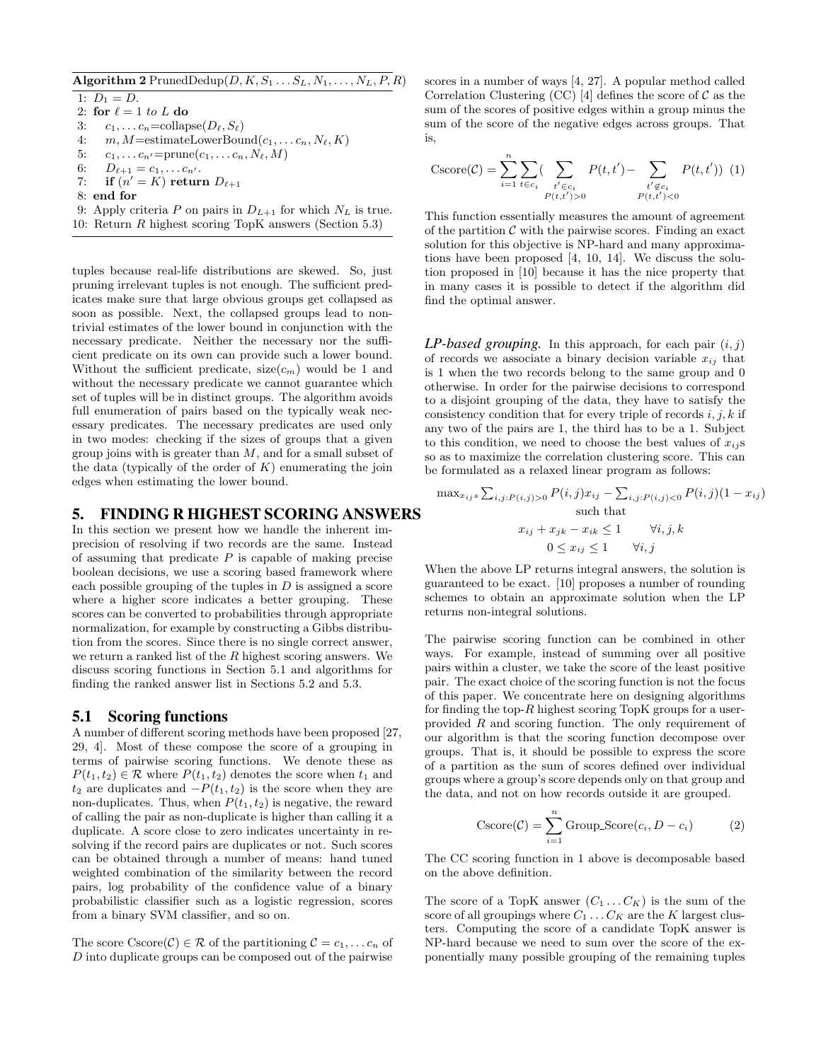## Algorithm 2 PrunedDedup $(D, K, S_1 \ldots S_L, N_1, \ldots, N_L, P, R)$

1:  $D_1 = D$ . 2: for  $\ell = 1$  to L do 3:  $c_1, \ldots c_n = \text{collapse}(D_\ell, S_\ell)$ 4:  $m, M = \text{estimateLowerBound}(c_1, \ldots c_n, N_\ell, K)$ 5:  $c_1, \ldots c_{n'} = \text{prune}(c_1, \ldots c_n, N_\ell, M)$ 6:  $D_{\ell+1} = c_1, \ldots c_{n'}$ . 7: if  $(n' = K)$  return  $D_{\ell+1}$ 8: end for 9: Apply criteria P on pairs in  $D_{L+1}$  for which  $N_L$  is true. 10: Return R highest scoring TopK answers (Section 5.3)

tuples because real-life distributions are skewed. So, just pruning irrelevant tuples is not enough. The sufficient predicates make sure that large obvious groups get collapsed as soon as possible. Next, the collapsed groups lead to nontrivial estimates of the lower bound in conjunction with the necessary predicate. Neither the necessary nor the sufficient predicate on its own can provide such a lower bound. Without the sufficient predicate,  $size(c_m)$  would be 1 and without the necessary predicate we cannot guarantee which set of tuples will be in distinct groups. The algorithm avoids full enumeration of pairs based on the typically weak necessary predicates. The necessary predicates are used only in two modes: checking if the sizes of groups that a given group joins with is greater than  $M$ , and for a small subset of the data (typically of the order of  $K$ ) enumerating the join edges when estimating the lower bound.

# 5. FINDING R HIGHEST SCORING ANSWERS

In this section we present how we handle the inherent imprecision of resolving if two records are the same. Instead of assuming that predicate  $P$  is capable of making precise boolean decisions, we use a scoring based framework where each possible grouping of the tuples in  $D$  is assigned a score where a higher score indicates a better grouping. These scores can be converted to probabilities through appropriate normalization, for example by constructing a Gibbs distribution from the scores. Since there is no single correct answer, we return a ranked list of the R highest scoring answers. We discuss scoring functions in Section 5.1 and algorithms for finding the ranked answer list in Sections 5.2 and 5.3.

#### 5.1 Scoring functions

A number of different scoring methods have been proposed [27, 29, 4]. Most of these compose the score of a grouping in terms of pairwise scoring functions. We denote these as  $P(t_1, t_2) \in \mathcal{R}$  where  $P(t_1, t_2)$  denotes the score when  $t_1$  and  $t_2$  are duplicates and  $-P(t_1, t_2)$  is the score when they are non-duplicates. Thus, when  $P(t_1, t_2)$  is negative, the reward of calling the pair as non-duplicate is higher than calling it a duplicate. A score close to zero indicates uncertainty in resolving if the record pairs are duplicates or not. Such scores can be obtained through a number of means: hand tuned weighted combination of the similarity between the record pairs, log probability of the confidence value of a binary probabilistic classifier such as a logistic regression, scores from a binary SVM classifier, and so on.

The score Cscore(C)  $\in \mathcal{R}$  of the partitioning  $\mathcal{C} = c_1, \ldots c_n$  of D into duplicate groups can be composed out of the pairwise

scores in a number of ways [4, 27]. A popular method called Correlation Clustering (CC) [4] defines the score of  $\mathcal C$  as the sum of the scores of positive edges within a group minus the sum of the score of the negative edges across groups. That is,

$$
\text{Cscore}(\mathcal{C}) = \sum_{i=1}^{n} \sum_{t \in c_i} \left( \sum_{\substack{t' \in c_i \\ P(t, t') > 0}} P(t, t') - \sum_{\substack{t' \notin c_i \\ P(t, t') < 0}} P(t, t') \right) (1)
$$

This function essentially measures the amount of agreement of the partition  $\mathcal C$  with the pairwise scores. Finding an exact solution for this objective is NP-hard and many approximations have been proposed [4, 10, 14]. We discuss the solution proposed in [10] because it has the nice property that in many cases it is possible to detect if the algorithm did find the optimal answer.

 $LP$ -based grouping. In this approach, for each pair  $(i, j)$ of records we associate a binary decision variable  $x_{ij}$  that is 1 when the two records belong to the same group and 0 otherwise. In order for the pairwise decisions to correspond to a disjoint grouping of the data, they have to satisfy the consistency condition that for every triple of records  $i, j, k$  if any two of the pairs are 1, the third has to be a 1. Subject to this condition, we need to choose the best values of  $x_{ij}$ s so as to maximize the correlation clustering score. This can be formulated as a relaxed linear program as follows:

$$
\max_{x_{ij}s} \sum_{i,j:P(i,j)>0} P(i,j)x_{ij} - \sum_{i,j:P(i,j)<0} P(i,j)(1-x_{ij})
$$
\nsuch that

\n
$$
x_{ij} + x_{jk} - x_{ik} \le 1 \qquad \forall i,j,k
$$
\n
$$
0 \le x_{ij} \le 1 \qquad \forall i,j
$$

When the above LP returns integral answers, the solution is guaranteed to be exact. [10] proposes a number of rounding schemes to obtain an approximate solution when the LP returns non-integral solutions.

The pairwise scoring function can be combined in other ways. For example, instead of summing over all positive pairs within a cluster, we take the score of the least positive pair. The exact choice of the scoring function is not the focus of this paper. We concentrate here on designing algorithms for finding the top- $R$  highest scoring TopK groups for a userprovided R and scoring function. The only requirement of our algorithm is that the scoring function decompose over groups. That is, it should be possible to express the score of a partition as the sum of scores defined over individual groups where a group's score depends only on that group and the data, and not on how records outside it are grouped.

$$
\text{Cscore}(\mathcal{C}) = \sum_{i=1}^{n} \text{Group\_Score}(c_i, D - c_i)
$$
 (2)

The CC scoring function in 1 above is decomposable based on the above definition.

The score of a TopK answer  $(C_1 \ldots C_K)$  is the sum of the score of all groupings where  $C_1 \ldots C_K$  are the K largest clusters. Computing the score of a candidate TopK answer is NP-hard because we need to sum over the score of the exponentially many possible grouping of the remaining tuples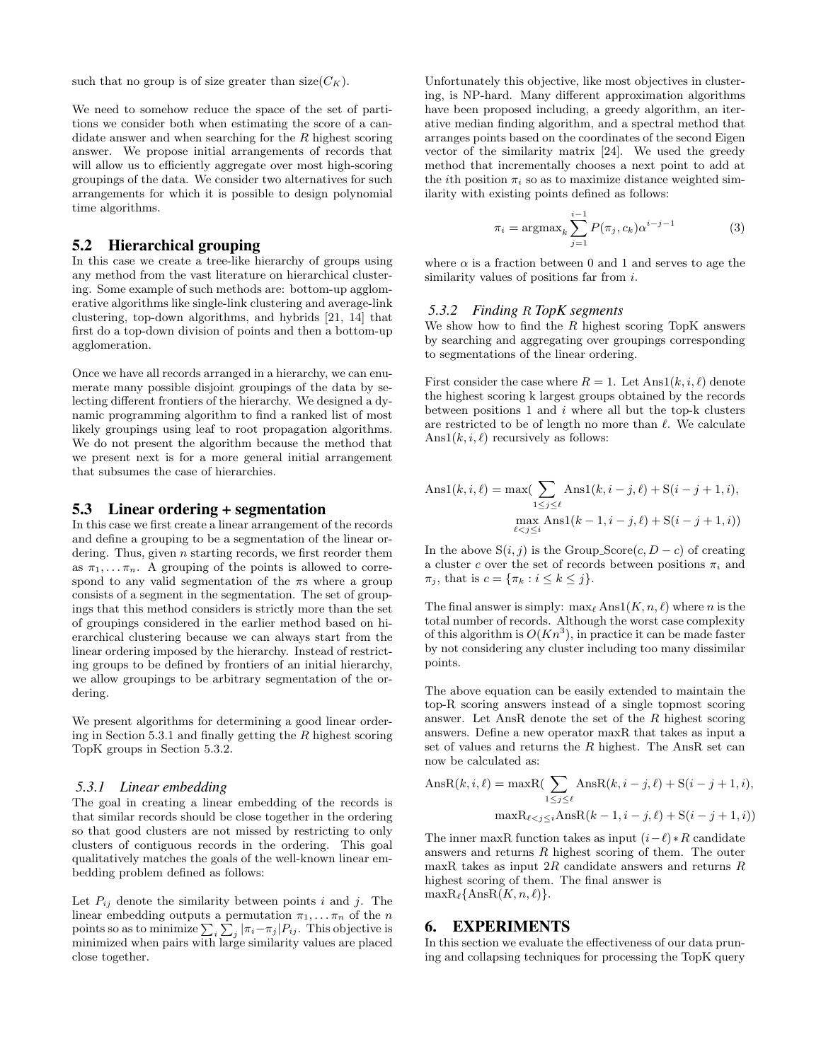such that no group is of size greater than  $size(C_K)$ .

We need to somehow reduce the space of the set of partitions we consider both when estimating the score of a candidate answer and when searching for the R highest scoring answer. We propose initial arrangements of records that will allow us to efficiently aggregate over most high-scoring groupings of the data. We consider two alternatives for such arrangements for which it is possible to design polynomial time algorithms.

# 5.2 Hierarchical grouping

In this case we create a tree-like hierarchy of groups using any method from the vast literature on hierarchical clustering. Some example of such methods are: bottom-up agglomerative algorithms like single-link clustering and average-link clustering, top-down algorithms, and hybrids [21, 14] that first do a top-down division of points and then a bottom-up agglomeration.

Once we have all records arranged in a hierarchy, we can enumerate many possible disjoint groupings of the data by selecting different frontiers of the hierarchy. We designed a dynamic programming algorithm to find a ranked list of most likely groupings using leaf to root propagation algorithms. We do not present the algorithm because the method that we present next is for a more general initial arrangement that subsumes the case of hierarchies.

## 5.3 Linear ordering + segmentation

In this case we first create a linear arrangement of the records and define a grouping to be a segmentation of the linear ordering. Thus, given  $n$  starting records, we first reorder them as  $\pi_1, \ldots, \pi_n$ . A grouping of the points is allowed to correspond to any valid segmentation of the  $\pi s$  where a group consists of a segment in the segmentation. The set of groupings that this method considers is strictly more than the set of groupings considered in the earlier method based on hierarchical clustering because we can always start from the linear ordering imposed by the hierarchy. Instead of restricting groups to be defined by frontiers of an initial hierarchy, we allow groupings to be arbitrary segmentation of the ordering.

We present algorithms for determining a good linear ordering in Section 5.3.1 and finally getting the  $R$  highest scoring TopK groups in Section 5.3.2.

#### *5.3.1 Linear embedding*

The goal in creating a linear embedding of the records is that similar records should be close together in the ordering so that good clusters are not missed by restricting to only clusters of contiguous records in the ordering. This goal qualitatively matches the goals of the well-known linear embedding problem defined as follows:

Let  $P_{ij}$  denote the similarity between points i and j. The linear embedding outputs a permutation  $\pi_1, \ldots, \pi_n$  of the *n* points so as to minimize  $\sum_i \sum_j |\pi_i - \pi_j| P_{ij}$ . This objective is minimized when pairs with large similarity values are placed close together.

Unfortunately this objective, like most objectives in clustering, is NP-hard. Many different approximation algorithms have been proposed including, a greedy algorithm, an iterative median finding algorithm, and a spectral method that arranges points based on the coordinates of the second Eigen vector of the similarity matrix [24]. We used the greedy method that incrementally chooses a next point to add at the *i*th position  $\pi_i$  so as to maximize distance weighted similarity with existing points defined as follows:

$$
\pi_i = \operatorname{argmax}_{k} \sum_{j=1}^{i-1} P(\pi_j, c_k) \alpha^{i-j-1}
$$
 (3)

where  $\alpha$  is a fraction between 0 and 1 and serves to age the similarity values of positions far from *i*.

#### *5.3.2 Finding* R *TopK segments*

We show how to find the  $R$  highest scoring TopK answers by searching and aggregating over groupings corresponding to segmentations of the linear ordering.

First consider the case where  $R = 1$ . Let  $Ans1(k, i, \ell)$  denote the highest scoring k largest groups obtained by the records between positions 1 and  $i$  where all but the top-k clusters are restricted to be of length no more than  $\ell$ . We calculate Ans $1(k, i, \ell)$  recursively as follows:

Ans1(k, i, l) = max(
$$
\sum_{1 \le j \le l}
$$
Ans1(k, i – j, l) + S(i – j + 1, i),  
\nmax( $\sum_{\ell < j \le i}$ Ans1(k – 1, i – j, l) + S(i – j + 1, i))

In the above  $S(i, j)$  is the Group\_Score $(c, D - c)$  of creating a cluster c over the set of records between positions  $\pi_i$  and  $\pi_j$ , that is  $c = {\pi_k : i \leq k \leq j}.$ 

The final answer is simply:  $\max_{\ell} \text{Ans1}(K, n, \ell)$  where n is the total number of records. Although the worst case complexity of this algorithm is  $O(Kn^3)$ , in practice it can be made faster by not considering any cluster including too many dissimilar points.

The above equation can be easily extended to maintain the top-R scoring answers instead of a single topmost scoring answer. Let AnsR denote the set of the R highest scoring answers. Define a new operator maxR that takes as input a set of values and returns the R highest. The AnsR set can now be calculated as:

$$
\text{AnsR}(k, i, \ell) = \max \left\{ \sum_{1 \le j \le \ell} \text{AnsR}(k, i - j, \ell) + \mathcal{S}(i - j + 1, i), \right\}
$$

$$
\max \mathcal{R}_{\ell < j \le i} \text{AnsR}(k - 1, i - j, \ell) + \mathcal{S}(i - j + 1, i) \right\}
$$

The inner maxR function takes as input  $(i-\ell) * R$  candidate answers and returns R highest scoring of them. The outer maxR takes as input  $2R$  candidate answers and returns  $R$ highest scoring of them. The final answer is  $\max R_{\ell} \{\text{AnsR}(K, n, \ell)\}.$ 

# 6. EXPERIMENTS

In this section we evaluate the effectiveness of our data pruning and collapsing techniques for processing the TopK query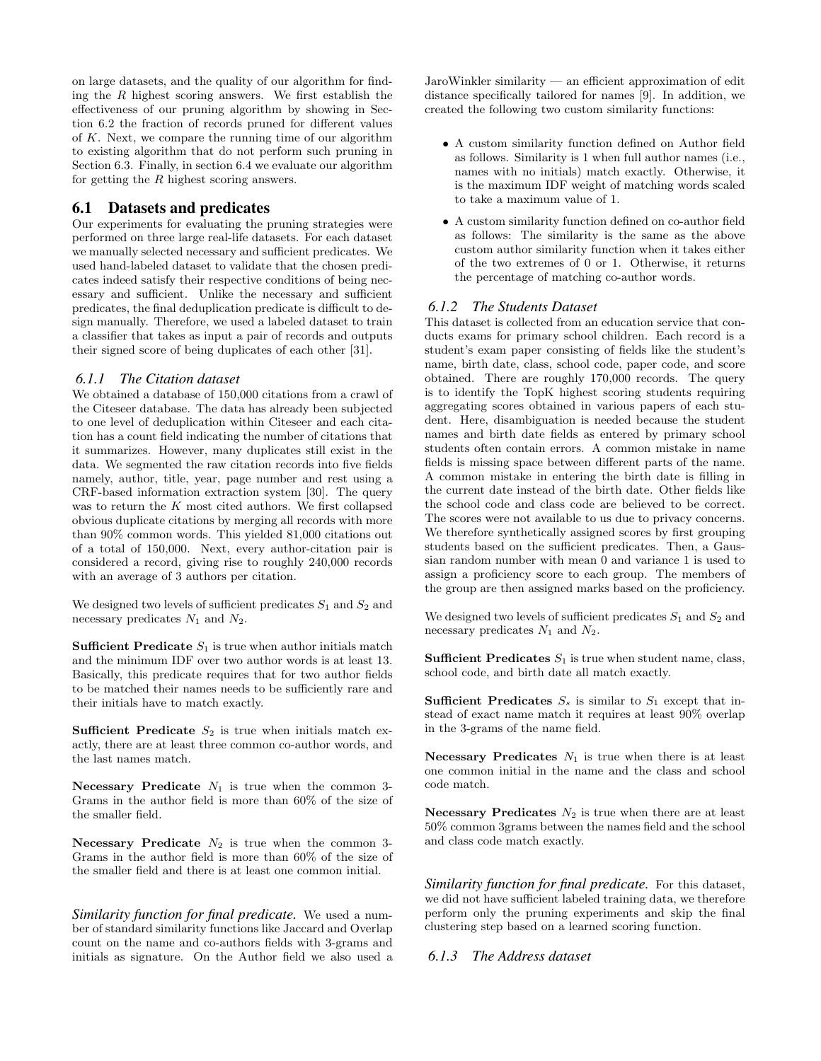on large datasets, and the quality of our algorithm for finding the  $R$  highest scoring answers. We first establish the effectiveness of our pruning algorithm by showing in Section 6.2 the fraction of records pruned for different values of  $K$ . Next, we compare the running time of our algorithm to existing algorithm that do not perform such pruning in Section 6.3. Finally, in section 6.4 we evaluate our algorithm for getting the R highest scoring answers.

# 6.1 Datasets and predicates

Our experiments for evaluating the pruning strategies were performed on three large real-life datasets. For each dataset we manually selected necessary and sufficient predicates. We used hand-labeled dataset to validate that the chosen predicates indeed satisfy their respective conditions of being necessary and sufficient. Unlike the necessary and sufficient predicates, the final deduplication predicate is difficult to design manually. Therefore, we used a labeled dataset to train a classifier that takes as input a pair of records and outputs their signed score of being duplicates of each other [31].

#### *6.1.1 The Citation dataset*

We obtained a database of 150,000 citations from a crawl of the Citeseer database. The data has already been subjected to one level of deduplication within Citeseer and each citation has a count field indicating the number of citations that it summarizes. However, many duplicates still exist in the data. We segmented the raw citation records into five fields namely, author, title, year, page number and rest using a CRF-based information extraction system [30]. The query was to return the  $K$  most cited authors. We first collapsed obvious duplicate citations by merging all records with more than 90% common words. This yielded 81,000 citations out of a total of 150,000. Next, every author-citation pair is considered a record, giving rise to roughly 240,000 records with an average of 3 authors per citation.

We designed two levels of sufficient predicates  $S_1$  and  $S_2$  and necessary predicates  $N_1$  and  $N_2$ .

**Sufficient Predicate**  $S_1$  is true when author initials match and the minimum IDF over two author words is at least 13. Basically, this predicate requires that for two author fields to be matched their names needs to be sufficiently rare and their initials have to match exactly.

Sufficient Predicate  $S_2$  is true when initials match exactly, there are at least three common co-author words, and the last names match.

Necessary Predicate  $N_1$  is true when the common 3-Grams in the author field is more than 60% of the size of the smaller field.

Necessary Predicate  $N_2$  is true when the common 3-Grams in the author field is more than 60% of the size of the smaller field and there is at least one common initial.

*Similarity function for final predicate.* We used a number of standard similarity functions like Jaccard and Overlap count on the name and co-authors fields with 3-grams and initials as signature. On the Author field we also used a JaroWinkler similarity — an efficient approximation of edit distance specifically tailored for names [9]. In addition, we created the following two custom similarity functions:

- A custom similarity function defined on Author field as follows. Similarity is 1 when full author names (i.e., names with no initials) match exactly. Otherwise, it is the maximum IDF weight of matching words scaled to take a maximum value of 1.
- A custom similarity function defined on co-author field as follows: The similarity is the same as the above custom author similarity function when it takes either of the two extremes of 0 or 1. Otherwise, it returns the percentage of matching co-author words.

#### *6.1.2 The Students Dataset*

This dataset is collected from an education service that conducts exams for primary school children. Each record is a student's exam paper consisting of fields like the student's name, birth date, class, school code, paper code, and score obtained. There are roughly 170,000 records. The query is to identify the TopK highest scoring students requiring aggregating scores obtained in various papers of each student. Here, disambiguation is needed because the student names and birth date fields as entered by primary school students often contain errors. A common mistake in name fields is missing space between different parts of the name. A common mistake in entering the birth date is filling in the current date instead of the birth date. Other fields like the school code and class code are believed to be correct. The scores were not available to us due to privacy concerns. We therefore synthetically assigned scores by first grouping students based on the sufficient predicates. Then, a Gaussian random number with mean 0 and variance 1 is used to assign a proficiency score to each group. The members of the group are then assigned marks based on the proficiency.

We designed two levels of sufficient predicates  $S_1$  and  $S_2$  and necessary predicates  $N_1$  and  $N_2$ .

**Sufficient Predicates**  $S_1$  is true when student name, class, school code, and birth date all match exactly.

**Sufficient Predicates**  $S_s$  is similar to  $S_1$  except that instead of exact name match it requires at least 90% overlap in the 3-grams of the name field.

Necessary Predicates  $N_1$  is true when there is at least one common initial in the name and the class and school code match.

Necessary Predicates  $N_2$  is true when there are at least 50% common 3grams between the names field and the school and class code match exactly.

*Similarity function for final predicate.* For this dataset, we did not have sufficient labeled training data, we therefore perform only the pruning experiments and skip the final clustering step based on a learned scoring function.

# *6.1.3 The Address dataset*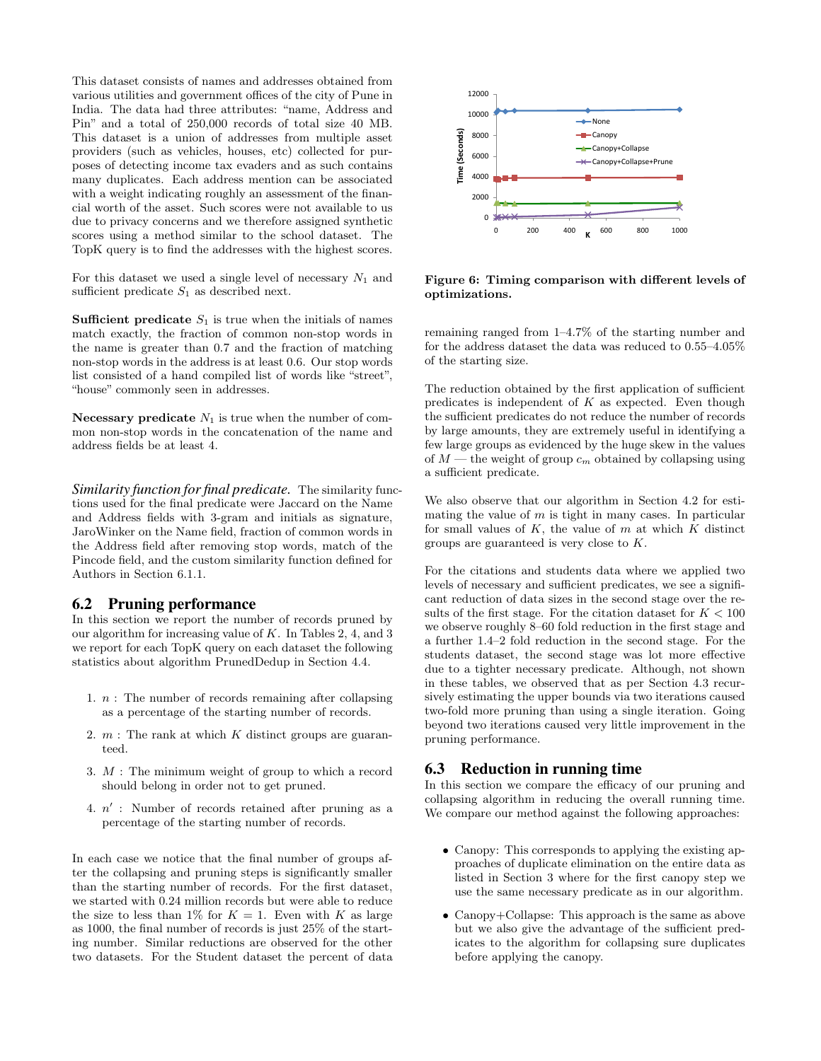This dataset consists of names and addresses obtained from various utilities and government offices of the city of Pune in India. The data had three attributes: "name, Address and Pin" and a total of 250,000 records of total size 40 MB. This dataset is a union of addresses from multiple asset providers (such as vehicles, houses, etc) collected for purposes of detecting income tax evaders and as such contains many duplicates. Each address mention can be associated with a weight indicating roughly an assessment of the financial worth of the asset. Such scores were not available to us due to privacy concerns and we therefore assigned synthetic scores using a method similar to the school dataset. The TopK query is to find the addresses with the highest scores.

For this dataset we used a single level of necessary  $N_1$  and sufficient predicate  $S_1$  as described next.

**Sufficient predicate**  $S_1$  is true when the initials of names match exactly, the fraction of common non-stop words in the name is greater than 0.7 and the fraction of matching non-stop words in the address is at least 0.6. Our stop words list consisted of a hand compiled list of words like "street", "house" commonly seen in addresses.

Necessary predicate  $N_1$  is true when the number of common non-stop words in the concatenation of the name and address fields be at least 4.

*Similarity function for final predicate.* The similarity functions used for the final predicate were Jaccard on the Name and Address fields with 3-gram and initials as signature, JaroWinker on the Name field, fraction of common words in the Address field after removing stop words, match of the Pincode field, and the custom similarity function defined for Authors in Section 6.1.1.

## 6.2 Pruning performance

In this section we report the number of records pruned by our algorithm for increasing value of  $K$ . In Tables 2, 4, and 3 we report for each TopK query on each dataset the following statistics about algorithm PrunedDedup in Section 4.4.

- 1.  $n$ : The number of records remaining after collapsing as a percentage of the starting number of records.
- 2.  $m$  : The rank at which  $K$  distinct groups are guaranteed.
- 3. M : The minimum weight of group to which a record should belong in order not to get pruned.
- 4.  $n'$ : Number of records retained after pruning as a percentage of the starting number of records.

In each case we notice that the final number of groups after the collapsing and pruning steps is significantly smaller than the starting number of records. For the first dataset, we started with 0.24 million records but were able to reduce the size to less than 1% for  $K = 1$ . Even with K as large as 1000, the final number of records is just 25% of the starting number. Similar reductions are observed for the other two datasets. For the Student dataset the percent of data



Figure 6: Timing comparison with different levels of optimizations.

remaining ranged from 1–4.7% of the starting number and for the address dataset the data was reduced to 0.55–4.05% of the starting size.

The reduction obtained by the first application of sufficient predicates is independent of  $K$  as expected. Even though the sufficient predicates do not reduce the number of records by large amounts, they are extremely useful in identifying a few large groups as evidenced by the huge skew in the values of  $M$  — the weight of group  $c_m$  obtained by collapsing using a sufficient predicate.

We also observe that our algorithm in Section 4.2 for estimating the value of  $m$  is tight in many cases. In particular for small values of  $K$ , the value of  $m$  at which  $K$  distinct groups are guaranteed is very close to K.

For the citations and students data where we applied two levels of necessary and sufficient predicates, we see a significant reduction of data sizes in the second stage over the results of the first stage. For the citation dataset for  $K < 100$ we observe roughly 8–60 fold reduction in the first stage and a further 1.4–2 fold reduction in the second stage. For the students dataset, the second stage was lot more effective due to a tighter necessary predicate. Although, not shown in these tables, we observed that as per Section 4.3 recursively estimating the upper bounds via two iterations caused two-fold more pruning than using a single iteration. Going beyond two iterations caused very little improvement in the pruning performance.

## 6.3 Reduction in running time

In this section we compare the efficacy of our pruning and collapsing algorithm in reducing the overall running time. We compare our method against the following approaches:

- Canopy: This corresponds to applying the existing approaches of duplicate elimination on the entire data as listed in Section 3 where for the first canopy step we use the same necessary predicate as in our algorithm.
- Canopy+Collapse: This approach is the same as above but we also give the advantage of the sufficient predicates to the algorithm for collapsing sure duplicates before applying the canopy.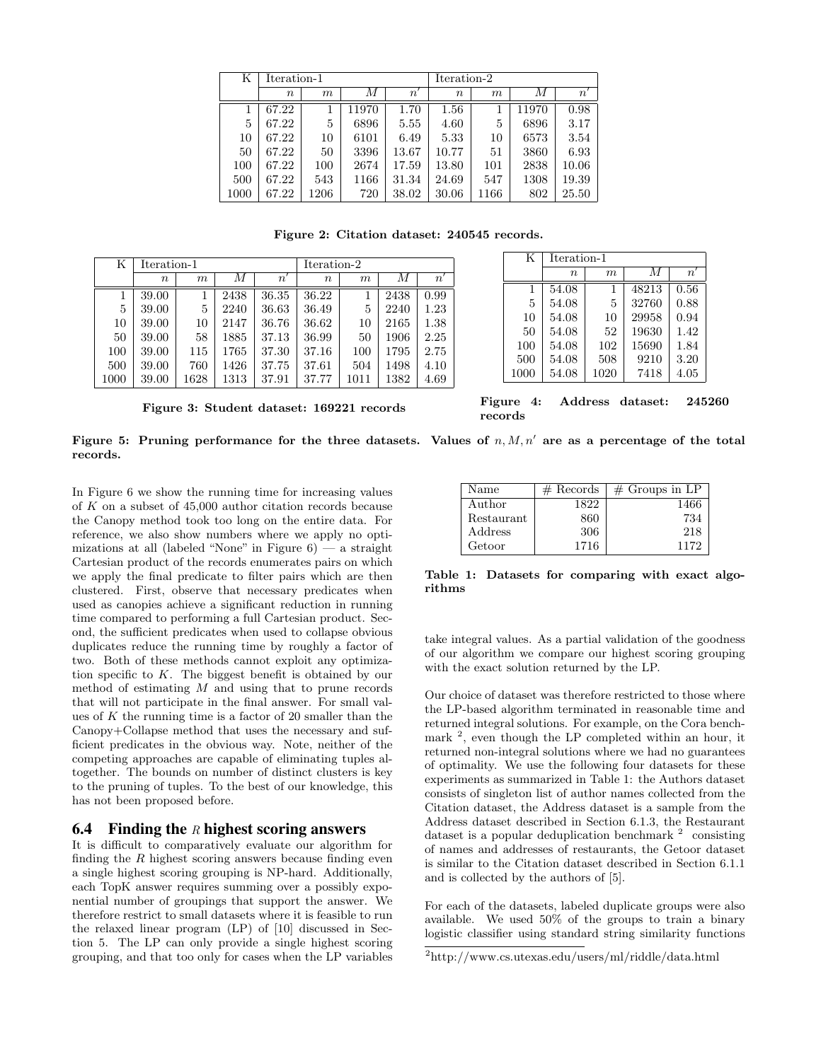| Κ    | Iteration-1 |      |                  |              | Iteration-2 |      |       |             |
|------|-------------|------|------------------|--------------|-------------|------|-------|-------------|
|      | $\, n$      | m    | $\boldsymbol{M}$ | $n^{\prime}$ | $\, n$      | m    | М     | $n^{\cdot}$ |
|      | 67.22       |      | 11970            | 1.70         | 1.56        |      | 11970 | 0.98        |
| 5    | 67.22       | 5    | 6896             | 5.55         | 4.60        | 5    | 6896  | 3.17        |
| 10   | 67.22       | 10   | 6101             | 6.49         | 5.33        | 10   | 6573  | 3.54        |
| 50   | 67.22       | 50   | 3396             | 13.67        | 10.77       | 51   | 3860  | 6.93        |
| 100  | 67.22       | 100  | 2674             | 17.59        | 13.80       | 101  | 2838  | 10.06       |
| 500  | 67.22       | 543  | 1166             | 31.34        | 24.69       | 547  | 1308  | 19.39       |
| 1000 | 67.22       | 1206 | 720              | 38.02        | 30.06       | 1166 | 802   | 25.50       |

Figure 2: Citation dataset: 240545 records.

| Κ    | Iteration-1      |      |      |                | Iteration-2 |                  |      |             |
|------|------------------|------|------|----------------|-------------|------------------|------|-------------|
|      | $\boldsymbol{n}$ | m    | М    | $\overline{n}$ | $\, n$      | $\boldsymbol{m}$ | М    | $n^{\cdot}$ |
|      | 39.00            |      | 2438 | 36.35          | 36.22       |                  | 2438 | 0.99        |
| 5    | 39.00            | 5    | 2240 | 36.63          | 36.49       | 5                | 2240 | 1.23        |
| 10   | 39.00            | 10   | 2147 | 36.76          | 36.62       | 10               | 2165 | 1.38        |
| 50   | 39.00            | 58   | 1885 | 37.13          | 36.99       | 50               | 1906 | 2.25        |
| 100  | 39.00            | 115  | 1765 | 37.30          | 37.16       | 100              | 1795 | 2.75        |
| 500  | 39.00            | 760  | 1426 | 37.75          | 37.61       | 504              | 1498 | 4.10        |
| 1000 | 39.00            | 1628 | 1313 | 37.91          | 37.77       | 1011             | 1382 | 4.69        |

| Figure 3: Student dataset: 169221 records |  |  |  |  |
|-------------------------------------------|--|--|--|--|
|-------------------------------------------|--|--|--|--|

| K    | Iteration-1      |      |       |              |  |  |
|------|------------------|------|-------|--------------|--|--|
|      | $\boldsymbol{n}$ | m    | М     | $n^{\prime}$ |  |  |
| 1    | 54.08            | 1    | 48213 | 0.56         |  |  |
| 5    | 54.08            | 5    | 32760 | 0.88         |  |  |
| 10   | 54.08            | 10   | 29958 | 0.94         |  |  |
| 50   | 54.08            | 52   | 19630 | 1.42         |  |  |
| 100  | 54.08            | 102  | 15690 | 1.84         |  |  |
| 500  | 54.08            | 508  | 9210  | 3.20         |  |  |
| 1000 | 54.08            | 1020 | 7418  | 4.05         |  |  |

Figure 4: Address dataset: 245260 records

Figure 5: Pruning performance for the three datasets. Values of  $n, M, n'$  are as a percentage of the total records.

In Figure 6 we show the running time for increasing values of K on a subset of 45,000 author citation records because the Canopy method took too long on the entire data. For reference, we also show numbers where we apply no optimizations at all (labeled "None" in Figure  $6$ ) — a straight Cartesian product of the records enumerates pairs on which we apply the final predicate to filter pairs which are then clustered. First, observe that necessary predicates when used as canopies achieve a significant reduction in running time compared to performing a full Cartesian product. Second, the sufficient predicates when used to collapse obvious duplicates reduce the running time by roughly a factor of two. Both of these methods cannot exploit any optimization specific to K. The biggest benefit is obtained by our method of estimating  $M$  and using that to prune records that will not participate in the final answer. For small values of  $K$  the running time is a factor of 20 smaller than the Canopy+Collapse method that uses the necessary and sufficient predicates in the obvious way. Note, neither of the competing approaches are capable of eliminating tuples altogether. The bounds on number of distinct clusters is key to the pruning of tuples. To the best of our knowledge, this has not been proposed before.

## 6.4 Finding the R highest scoring answers

It is difficult to comparatively evaluate our algorithm for finding the  $R$  highest scoring answers because finding even a single highest scoring grouping is NP-hard. Additionally, each TopK answer requires summing over a possibly exponential number of groupings that support the answer. We therefore restrict to small datasets where it is feasible to run the relaxed linear program (LP) of [10] discussed in Section 5. The LP can only provide a single highest scoring grouping, and that too only for cases when the LP variables

| Name       | $#$ Records | $\#$ Groups in LP |
|------------|-------------|-------------------|
| Author     | 1822        | 1466              |
| Restaurant | 860         | 734               |
| Address    | 306         | 218               |
| Getoor     | 1716        | 1172              |

Table 1: Datasets for comparing with exact algorithms

take integral values. As a partial validation of the goodness of our algorithm we compare our highest scoring grouping with the exact solution returned by the LP.

Our choice of dataset was therefore restricted to those where the LP-based algorithm terminated in reasonable time and returned integral solutions. For example, on the Cora benchmark <sup>2</sup>, even though the LP completed within an hour, it returned non-integral solutions where we had no guarantees of optimality. We use the following four datasets for these experiments as summarized in Table 1: the Authors dataset consists of singleton list of author names collected from the Citation dataset, the Address dataset is a sample from the Address dataset described in Section 6.1.3, the Restaurant dataset is a popular deduplication benchmark  $2$  consisting of names and addresses of restaurants, the Getoor dataset is similar to the Citation dataset described in Section 6.1.1 and is collected by the authors of [5].

For each of the datasets, labeled duplicate groups were also available. We used 50% of the groups to train a binary logistic classifier using standard string similarity functions

<sup>2</sup>http://www.cs.utexas.edu/users/ml/riddle/data.html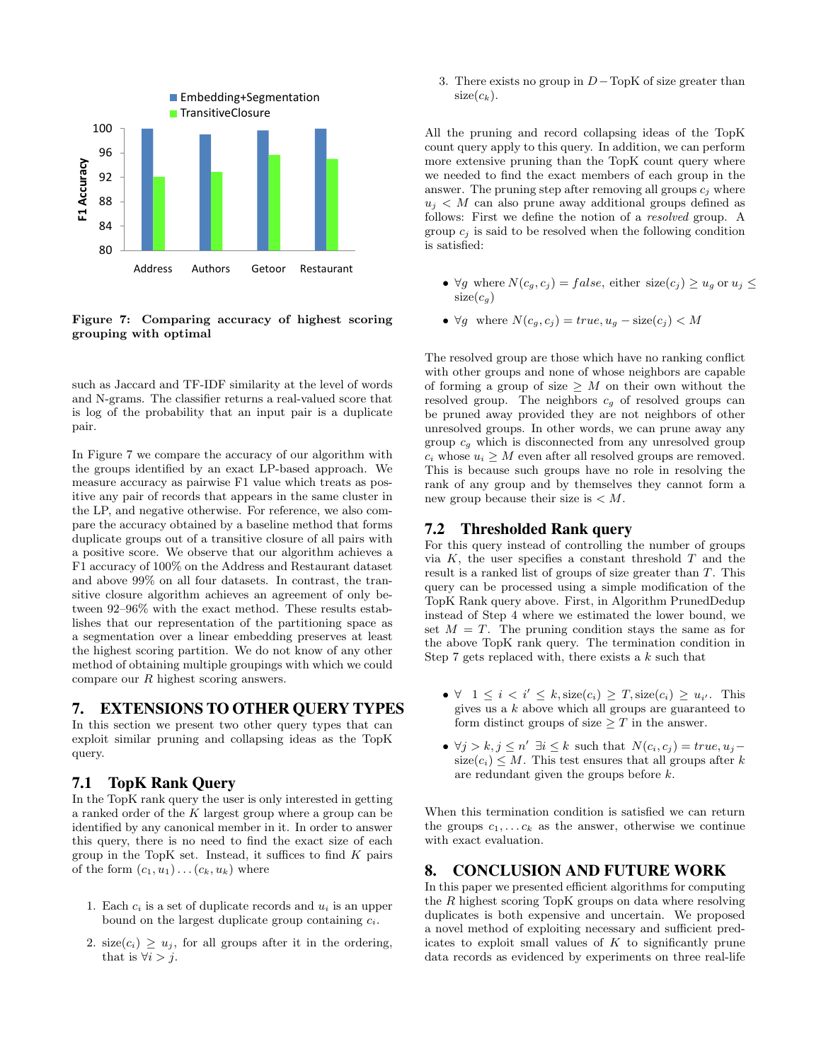

Figure 7: Comparing accuracy of highest scoring grouping with optimal

such as Jaccard and TF-IDF similarity at the level of words and N-grams. The classifier returns a real-valued score that is log of the probability that an input pair is a duplicate pair.

In Figure 7 we compare the accuracy of our algorithm with the groups identified by an exact LP-based approach. We measure accuracy as pairwise F1 value which treats as positive any pair of records that appears in the same cluster in the LP, and negative otherwise. For reference, we also compare the accuracy obtained by a baseline method that forms duplicate groups out of a transitive closure of all pairs with a positive score. We observe that our algorithm achieves a F1 accuracy of 100% on the Address and Restaurant dataset and above 99% on all four datasets. In contrast, the transitive closure algorithm achieves an agreement of only between 92–96% with the exact method. These results establishes that our representation of the partitioning space as a segmentation over a linear embedding preserves at least the highest scoring partition. We do not know of any other method of obtaining multiple groupings with which we could compare our R highest scoring answers.

# 7. EXTENSIONS TO OTHER QUERY TYPES

In this section we present two other query types that can exploit similar pruning and collapsing ideas as the TopK query.

# 7.1 TopK Rank Query

In the TopK rank query the user is only interested in getting a ranked order of the K largest group where a group can be identified by any canonical member in it. In order to answer this query, there is no need to find the exact size of each group in the TopK set. Instead, it suffices to find  $K$  pairs of the form  $(c_1, u_1) \dots (c_k, u_k)$  where

- 1. Each  $c_i$  is a set of duplicate records and  $u_i$  is an upper bound on the largest duplicate group containing  $c_i$ .
- 2. size $(c_i) \geq u_j$ , for all groups after it in the ordering, that is  $\forall i > j$ .

3. There exists no group in  $D-\text{TopK}$  of size greater than  $size(c_k)$ .

All the pruning and record collapsing ideas of the TopK count query apply to this query. In addition, we can perform more extensive pruning than the TopK count query where we needed to find the exact members of each group in the answer. The pruning step after removing all groups  $c_i$  where  $u_i < M$  can also prune away additional groups defined as follows: First we define the notion of a resolved group. A group  $c_i$  is said to be resolved when the following condition is satisfied:

- $\forall g$  where  $N(c_g, c_j) = false$ , either size $(c_j) \geq u_g$  or  $u_j \leq$  $size(c_g)$
- $\forall g$  where  $N(c_q, c_j) = true, u_q size(c_j) < M$

The resolved group are those which have no ranking conflict with other groups and none of whose neighbors are capable of forming a group of size  $\geq M$  on their own without the resolved group. The neighbors  $c_q$  of resolved groups can be pruned away provided they are not neighbors of other unresolved groups. In other words, we can prune away any group  $c_q$  which is disconnected from any unresolved group  $c_i$  whose  $u_i \geq M$  even after all resolved groups are removed. This is because such groups have no role in resolving the rank of any group and by themselves they cannot form a new group because their size is  $\lt M$ .

# 7.2 Thresholded Rank query

For this query instead of controlling the number of groups via  $K$ , the user specifies a constant threshold  $T$  and the result is a ranked list of groups of size greater than T. This query can be processed using a simple modification of the TopK Rank query above. First, in Algorithm PrunedDedup instead of Step 4 where we estimated the lower bound, we set  $M = T$ . The pruning condition stays the same as for the above TopK rank query. The termination condition in Step 7 gets replaced with, there exists a  $k$  such that

- $\forall$  1  $\leq i \leq i' \leq k$ , size $(c_i) \geq T$ , size $(c_i) \geq u_{i'}$ . This gives us a  $k$  above which all groups are guaranteed to form distinct groups of size  $\geq T$  in the answer.
- $\forall j > k, j \leq n' \exists i \leq k$  such that  $N(c_i, c_j) = true, u_j$  $size(c_i) \leq M$ . This test ensures that all groups after k are redundant given the groups before k.

When this termination condition is satisfied we can return the groups  $c_1, \ldots c_k$  as the answer, otherwise we continue with exact evaluation.

# 8. CONCLUSION AND FUTURE WORK

In this paper we presented efficient algorithms for computing the R highest scoring TopK groups on data where resolving duplicates is both expensive and uncertain. We proposed a novel method of exploiting necessary and sufficient predicates to exploit small values of  $K$  to significantly prune data records as evidenced by experiments on three real-life